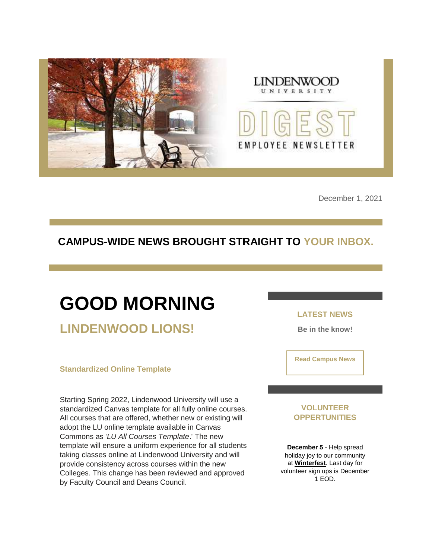



December 1, 2021

### **CAMPUS-WIDE NEWS BROUGHT STRAIGHT TO YOUR INBOX.**

## **GOOD MORNING LINDENWOOD LIONS!**

#### **Standardized Online Template**

Starting Spring 2022, Lindenwood University will use a standardized Canvas template for all fully online courses. All courses that are offered, whether new or existing will adopt the LU online template available in Canvas Commons as '*LU All Courses Template*.' The new template will ensure a uniform experience for all students taking classes online at Lindenwood University and will provide consistency across courses within the new Colleges. This change has been reviewed and approved by Faculty Council and Deans Council.

#### **LATEST NEWS**

**Be in the know!** 

**[Read Campus News](https://nam04.safelinks.protection.outlook.com/?url=https%3A%2F%2Fr20.rs6.net%2Ftn.jsp%3Ff%3D001cUWlXWRFO8J59_dGCd8P7iGtaf9-lT6w-2hJjvELcqih6FaRBgOL93Thd1ss3FsGvtqOv1fyiG0T-3zSJUDgHTEaj_e6q6cYeXDncdhMStGixbLFm23mvNghIRkkGoytvw0jq5mkomQ37TbIAHKchCE8tus40JWA8t7KEAWMcUs%3D%26c%3Dl7huLWkyk7mAeOnGO9_zpdlrQwzBdA7GYdA-dppgWmgw0TZ2Oa8AyA%3D%3D%26ch%3DCLagxJTYGW-C162-CjCRR3mWGbC9biwb7kdTqZ_ecUG8EgVSDalMEg%3D%3D&data=04%7C01%7Cphuffman%40lindenwood.edu%7Cc7de0581322e42fa7ae208d9b4df94e3%7C3d72f08e540a4c68905d9e69c4d9c61e%7C1%7C0%7C637739694645811792%7CUnknown%7CTWFpbGZsb3d8eyJWIjoiMC4wLjAwMDAiLCJQIjoiV2luMzIiLCJBTiI6Ik1haWwiLCJXVCI6Mn0%3D%7C3000&sdata=LjlngqOjwSi%2FYF%2BXWqRQEhLqW8PWWqNZF5HAYRy39%2BA%3D&reserved=0)**

#### **VOLUNTEER OPPERTUNITIES**

**December 5** - Help spread holiday joy to our community at **[Winterfest](https://nam04.safelinks.protection.outlook.com/?url=https%3A%2F%2Fr20.rs6.net%2Ftn.jsp%3Ff%3D001cUWlXWRFO8J59_dGCd8P7iGtaf9-lT6w-2hJjvELcqih6FaRBgOL91mvWrQlj4daVjQklElXRWAzLQT9BlMWHNHxQo-CqtSJ0utZtSqi_TwuwyQyympdf1QiazfHKMT_yRgkBIq7wDyOB9MdqM5rLXQYgetZJhhHJvvMtXy0EByOHMAyhQJ18_aWMmzmHlhIc59mKEdadZw%3D%26c%3Dl7huLWkyk7mAeOnGO9_zpdlrQwzBdA7GYdA-dppgWmgw0TZ2Oa8AyA%3D%3D%26ch%3DCLagxJTYGW-C162-CjCRR3mWGbC9biwb7kdTqZ_ecUG8EgVSDalMEg%3D%3D&data=04%7C01%7Cphuffman%40lindenwood.edu%7Cc7de0581322e42fa7ae208d9b4df94e3%7C3d72f08e540a4c68905d9e69c4d9c61e%7C1%7C0%7C637739694645821740%7CUnknown%7CTWFpbGZsb3d8eyJWIjoiMC4wLjAwMDAiLCJQIjoiV2luMzIiLCJBTiI6Ik1haWwiLCJXVCI6Mn0%3D%7C3000&sdata=c2W8S9WlFOYtqzXDYJ3LP4aCAONvwDmH%2FrcAIFPwN8o%3D&reserved=0)**. Last day for volunteer sign ups is December 1 EOD.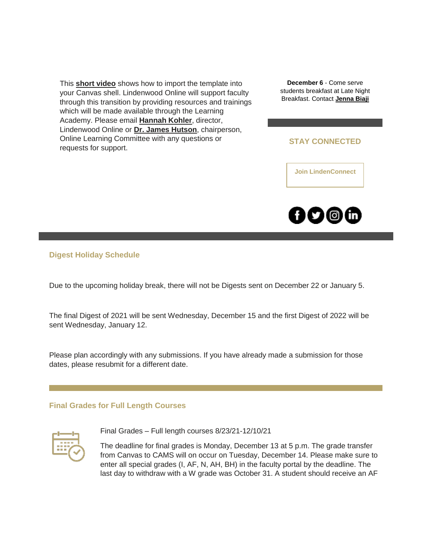This **[short video](https://nam04.safelinks.protection.outlook.com/?url=https%3A%2F%2Fr20.rs6.net%2Ftn.jsp%3Ff%3D001cUWlXWRFO8J59_dGCd8P7iGtaf9-lT6w-2hJjvELcqih6FaRBgOL98vtU74fDtAP9oitfgTPjIR5ueHgbMTnt8lyA65lb1aQtVIiuMVQaF8GgAw-XShxAl02OLsoJhTvEVQ6miztJGHdfBJyDPrgM0zhY5YE8TxqJ8XkARnZuLiyakoaStepSg%3D%3D%26c%3Dl7huLWkyk7mAeOnGO9_zpdlrQwzBdA7GYdA-dppgWmgw0TZ2Oa8AyA%3D%3D%26ch%3DCLagxJTYGW-C162-CjCRR3mWGbC9biwb7kdTqZ_ecUG8EgVSDalMEg%3D%3D&data=04%7C01%7Cphuffman%40lindenwood.edu%7Cc7de0581322e42fa7ae208d9b4df94e3%7C3d72f08e540a4c68905d9e69c4d9c61e%7C1%7C0%7C637739694645801833%7CUnknown%7CTWFpbGZsb3d8eyJWIjoiMC4wLjAwMDAiLCJQIjoiV2luMzIiLCJBTiI6Ik1haWwiLCJXVCI6Mn0%3D%7C3000&sdata=3H0eucpe7ld7N0a8RWWp87U42cT4nWnr80U7QlMdodk%3D&reserved=0)** shows how to import the template into your Canvas shell. Lindenwood Online will support faculty through this transition by providing resources and trainings which will be made available through the Learning Academy. Please email **[Hannah Kohler](mailto:HKohler@lindenwood.edu)**, director, Lindenwood Online or **[Dr. James Hutson](mailto:JHutson@lindenwood.edu)**, chairperson, Online Learning Committee with any questions or requests for support.

**December 6** - Come serve students breakfast at Late Night Breakfast. Contact **[Jenna Biaji](mailto:JBiagi@lindenwood.edu)**

#### **STAY CONNECTED**

**[Join LindenConnect](https://nam04.safelinks.protection.outlook.com/?url=https%3A%2F%2Fr20.rs6.net%2Ftn.jsp%3Ff%3D001cUWlXWRFO8J59_dGCd8P7iGtaf9-lT6w-2hJjvELcqih6FaRBgOL99hyxoM_sjkxteC6tXhdfAoqW4FZQ3PcTmAN-GqhGVrZqaiVd5UD1BBL4EdpPSprYcmcuri64z73k0-mrv689wsuY58mVcrbKYQab9yDgMa9domPsQ_zyL0%3D%26c%3Dl7huLWkyk7mAeOnGO9_zpdlrQwzBdA7GYdA-dppgWmgw0TZ2Oa8AyA%3D%3D%26ch%3DCLagxJTYGW-C162-CjCRR3mWGbC9biwb7kdTqZ_ecUG8EgVSDalMEg%3D%3D&data=04%7C01%7Cphuffman%40lindenwood.edu%7Cc7de0581322e42fa7ae208d9b4df94e3%7C3d72f08e540a4c68905d9e69c4d9c61e%7C1%7C0%7C637739694645831704%7CUnknown%7CTWFpbGZsb3d8eyJWIjoiMC4wLjAwMDAiLCJQIjoiV2luMzIiLCJBTiI6Ik1haWwiLCJXVCI6Mn0%3D%7C3000&sdata=lzQ%2F2dN06Pg5flDeEAdQPrSDSaI64YKbPIH4wPZFO50%3D&reserved=0)**



#### **Digest Holiday Schedule**

Due to the upcoming holiday break, there will not be Digests sent on December 22 or January 5.

The final Digest of 2021 will be sent Wednesday, December 15 and the first Digest of 2022 will be sent Wednesday, January 12.

Please plan accordingly with any submissions. If you have already made a submission for those dates, please resubmit for a different date.

#### **Final Grades for Full Length Courses**



Final Grades – Full length courses 8/23/21-12/10/21

The deadline for final grades is Monday, December 13 at 5 p.m. The grade transfer from Canvas to CAMS will on occur on Tuesday, December 14. Please make sure to enter all special grades (I, AF, N, AH, BH) in the faculty portal by the deadline. The last day to withdraw with a W grade was October 31. A student should receive an AF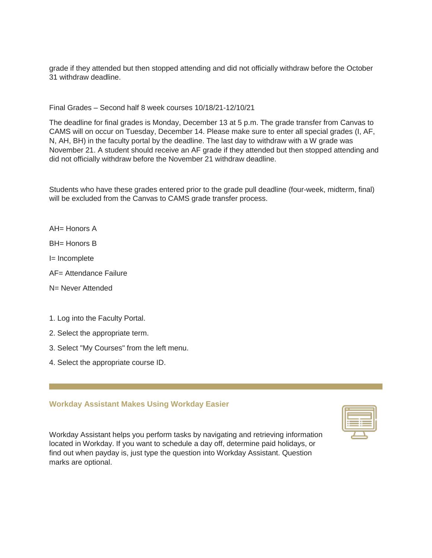grade if they attended but then stopped attending and did not officially withdraw before the October 31 withdraw deadline.

Final Grades – Second half 8 week courses 10/18/21-12/10/21

The deadline for final grades is Monday, December 13 at 5 p.m. The grade transfer from Canvas to CAMS will on occur on Tuesday, December 14. Please make sure to enter all special grades (I, AF, N, AH, BH) in the faculty portal by the deadline. The last day to withdraw with a W grade was November 21. A student should receive an AF grade if they attended but then stopped attending and did not officially withdraw before the November 21 withdraw deadline.

Students who have these grades entered prior to the grade pull deadline (four-week, midterm, final) will be excluded from the Canvas to CAMS grade transfer process.

AH= Honors A

BH= Honors B

I= Incomplete

AF= Attendance Failure

N= Never Attended

1. Log into the Faculty Portal.

2. Select the appropriate term.

3. Select "My Courses" from the left menu.

4. Select the appropriate course ID.

#### **Workday Assistant Makes Using Workday Easier**

Workday Assistant helps you perform tasks by navigating and retrieving information located in Workday. If you want to schedule a day off, determine paid holidays, or find out when payday is, just type the question into Workday Assistant. Question marks are optional.

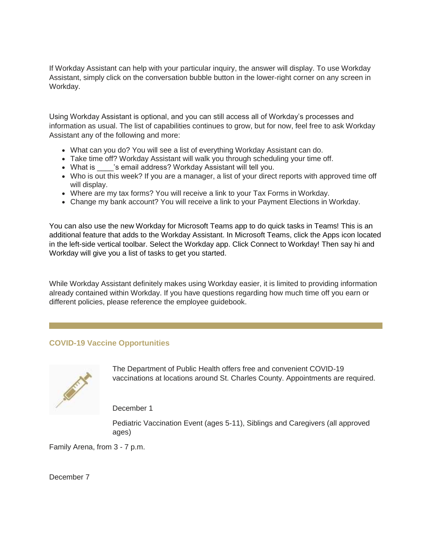If Workday Assistant can help with your particular inquiry, the answer will display. To use Workday Assistant, simply click on the conversation bubble button in the lower-right corner on any screen in Workday.

Using Workday Assistant is optional, and you can still access all of Workday's processes and information as usual. The list of capabilities continues to grow, but for now, feel free to ask Workday Assistant any of the following and more:

- What can you do? You will see a list of everything Workday Assistant can do.
- Take time off? Workday Assistant will walk you through scheduling your time off.
- What is \_\_\_\_'s email address? Workday Assistant will tell you.
- Who is out this week? If you are a manager, a list of your direct reports with approved time off will display.
- Where are my tax forms? You will receive a link to your Tax Forms in Workday.
- Change my bank account? You will receive a link to your Payment Elections in Workday.

You can also use the new Workday for Microsoft Teams app to do quick tasks in Teams! This is an additional feature that adds to the Workday Assistant. In Microsoft Teams, click the Apps icon located in the left-side vertical toolbar. Select the Workday app. Click Connect to Workday! Then say hi and Workday will give you a list of tasks to get you started.

While Workday Assistant definitely makes using Workday easier, it is limited to providing information already contained within Workday. If you have questions regarding how much time off you earn or different policies, please reference the employee guidebook.

#### **COVID-19 Vaccine Opportunities**



The Department of Public Health offers free and convenient COVID-19 vaccinations at locations around St. Charles County. Appointments are required.

December 1

Pediatric Vaccination Event (ages 5-11), Siblings and Caregivers (all approved ages)

Family Arena, from 3 - 7 p.m.

December 7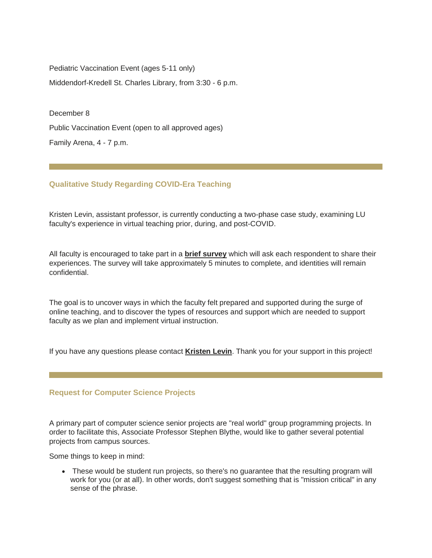Pediatric Vaccination Event (ages 5-11 only) Middendorf-Kredell St. Charles Library, from 3:30 - 6 p.m.

December 8

Public Vaccination Event (open to all approved ages)

Family Arena, 4 - 7 p.m.

#### **Qualitative Study Regarding COVID-Era Teaching**

Kristen Levin, assistant professor, is currently conducting a two-phase case study, examining LU faculty's experience in virtual teaching prior, during, and post-COVID.

All faculty is encouraged to take part in a **[brief survey](https://nam04.safelinks.protection.outlook.com/?url=https%3A%2F%2Fr20.rs6.net%2Ftn.jsp%3Ff%3D001cUWlXWRFO8J59_dGCd8P7iGtaf9-lT6w-2hJjvELcqih6FaRBgOL98vtU74fDtAP3o_bSdtr6AZdsGZrTYcJi6UnADOBSA_M8vduABuMmhURbMbPxkNhp9k4AMzfMhmLyH9EAK4V6WUtCudl-DfIF8M8eVI83bEJJhxvivdD-zPQvszespuywGuPuDsayMNY8a8f4aIPHEI%3D%26c%3Dl7huLWkyk7mAeOnGO9_zpdlrQwzBdA7GYdA-dppgWmgw0TZ2Oa8AyA%3D%3D%26ch%3DCLagxJTYGW-C162-CjCRR3mWGbC9biwb7kdTqZ_ecUG8EgVSDalMEg%3D%3D&data=04%7C01%7Cphuffman%40lindenwood.edu%7Cc7de0581322e42fa7ae208d9b4df94e3%7C3d72f08e540a4c68905d9e69c4d9c61e%7C1%7C0%7C637739694645881478%7CUnknown%7CTWFpbGZsb3d8eyJWIjoiMC4wLjAwMDAiLCJQIjoiV2luMzIiLCJBTiI6Ik1haWwiLCJXVCI6Mn0%3D%7C3000&sdata=iWUNWo87aQJn%2FgQDklb8qFZLozIUBqsufUe6E%2BOh2fU%3D&reserved=0)** which will ask each respondent to share their experiences. The survey will take approximately 5 minutes to complete, and identities will remain confidential.

The goal is to uncover ways in which the faculty felt prepared and supported during the surge of online teaching, and to discover the types of resources and support which are needed to support faculty as we plan and implement virtual instruction.

If you have any questions please contact **[Kristen Levin](mailto:klevin@lindenwood.edu)**. Thank you for your support in this project!

#### **Request for Computer Science Projects**

A primary part of computer science senior projects are "real world" group programming projects. In order to facilitate this, Associate Professor Stephen Blythe, would like to gather several potential projects from campus sources.

Some things to keep in mind:

• These would be student run projects, so there's no guarantee that the resulting program will work for you (or at all). In other words, don't suggest something that is "mission critical" in any sense of the phrase.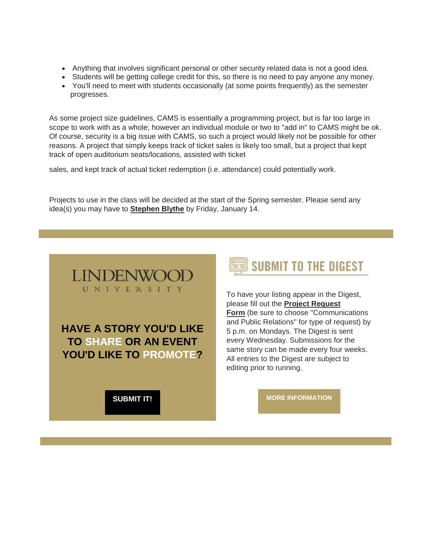- Anything that involves significant personal or other security related data is not a good idea.
- Students will be getting college credit for this, so there is no need to pay anyone any money.
- You'll need to meet with students occasionally (at some points frequently) as the semester progresses.

As some project size guidelines, CAMS is essentially a programming project, but is far too large in scope to work with as a whole; however an individual module or two to "add in" to CAMS might be ok. Of course, security is a big issue with CAMS, so such a project would likely not be possible for other reasons. A project that simply keeps track of ticket sales is likely too small, but a project that kept track of open auditorium seats/locations, assisted with ticket

sales, and kept track of actual ticket redemption (i.e. attendance) could potentially work.

Projects to use in the class will be decided at the start of the Spring semester. Please send any idea(s) you may have to **[Stephen Blythe](mailto:sblythe@lindenwood.edu)** by Friday, January 14.



**HAVE A STORY YOU'D LIKE TO SHARE OR AN EVENT YOU'D LIKE TO PROMOTE?** 

**[SUBMIT IT!](https://nam04.safelinks.protection.outlook.com/?url=https%3A%2F%2Fr20.rs6.net%2Ftn.jsp%3Ff%3D001cUWlXWRFO8J59_dGCd8P7iGtaf9-lT6w-2hJjvELcqih6FaRBgOL95i98h2Bv5sZFj2BRMQU0W-hN9_BLMBL2tE0qhTe8eljOnJktzvOrrI98qsuD55ndzp6CEB4aGxeuhrB-4n-XCAFuZ1i5e4wAM0aghIsCvUA6ccqjpL66Dft0tQtsJE-D8qFHEjIhAvLIZ5FUcnBIkkxjhjWjlzMkU_fJeUmxZ_R%26c%3Dl7huLWkyk7mAeOnGO9_zpdlrQwzBdA7GYdA-dppgWmgw0TZ2Oa8AyA%3D%3D%26ch%3DCLagxJTYGW-C162-CjCRR3mWGbC9biwb7kdTqZ_ecUG8EgVSDalMEg%3D%3D&data=04%7C01%7Cphuffman%40lindenwood.edu%7Cc7de0581322e42fa7ae208d9b4df94e3%7C3d72f08e540a4c68905d9e69c4d9c61e%7C1%7C0%7C637739694645901387%7CUnknown%7CTWFpbGZsb3d8eyJWIjoiMC4wLjAwMDAiLCJQIjoiV2luMzIiLCJBTiI6Ik1haWwiLCJXVCI6Mn0%3D%7C3000&sdata=x6Oa%2ByfRh354Ssa28vYA7kbEfZP6XXffYwAC667L%2BJo%3D&reserved=0)**



To have your listing appear in the Digest, please fill out the **[Project Request](https://nam04.safelinks.protection.outlook.com/?url=https%3A%2F%2Fr20.rs6.net%2Ftn.jsp%3Ff%3D001cUWlXWRFO8J59_dGCd8P7iGtaf9-lT6w-2hJjvELcqih6FaRBgOL95i98h2Bv5sZFj2BRMQU0W-hN9_BLMBL2tE0qhTe8eljOnJktzvOrrI98qsuD55ndzp6CEB4aGxeuhrB-4n-XCAFuZ1i5e4wAM0aghIsCvUA6ccqjpL66Dft0tQtsJE-D8qFHEjIhAvLIZ5FUcnBIkkxjhjWjlzMkU_fJeUmxZ_R%26c%3Dl7huLWkyk7mAeOnGO9_zpdlrQwzBdA7GYdA-dppgWmgw0TZ2Oa8AyA%3D%3D%26ch%3DCLagxJTYGW-C162-CjCRR3mWGbC9biwb7kdTqZ_ecUG8EgVSDalMEg%3D%3D&data=04%7C01%7Cphuffman%40lindenwood.edu%7Cc7de0581322e42fa7ae208d9b4df94e3%7C3d72f08e540a4c68905d9e69c4d9c61e%7C1%7C0%7C637739694645901387%7CUnknown%7CTWFpbGZsb3d8eyJWIjoiMC4wLjAwMDAiLCJQIjoiV2luMzIiLCJBTiI6Ik1haWwiLCJXVCI6Mn0%3D%7C3000&sdata=x6Oa%2ByfRh354Ssa28vYA7kbEfZP6XXffYwAC667L%2BJo%3D&reserved=0)  [Form](https://nam04.safelinks.protection.outlook.com/?url=https%3A%2F%2Fr20.rs6.net%2Ftn.jsp%3Ff%3D001cUWlXWRFO8J59_dGCd8P7iGtaf9-lT6w-2hJjvELcqih6FaRBgOL95i98h2Bv5sZFj2BRMQU0W-hN9_BLMBL2tE0qhTe8eljOnJktzvOrrI98qsuD55ndzp6CEB4aGxeuhrB-4n-XCAFuZ1i5e4wAM0aghIsCvUA6ccqjpL66Dft0tQtsJE-D8qFHEjIhAvLIZ5FUcnBIkkxjhjWjlzMkU_fJeUmxZ_R%26c%3Dl7huLWkyk7mAeOnGO9_zpdlrQwzBdA7GYdA-dppgWmgw0TZ2Oa8AyA%3D%3D%26ch%3DCLagxJTYGW-C162-CjCRR3mWGbC9biwb7kdTqZ_ecUG8EgVSDalMEg%3D%3D&data=04%7C01%7Cphuffman%40lindenwood.edu%7Cc7de0581322e42fa7ae208d9b4df94e3%7C3d72f08e540a4c68905d9e69c4d9c61e%7C1%7C0%7C637739694645901387%7CUnknown%7CTWFpbGZsb3d8eyJWIjoiMC4wLjAwMDAiLCJQIjoiV2luMzIiLCJBTiI6Ik1haWwiLCJXVCI6Mn0%3D%7C3000&sdata=x6Oa%2ByfRh354Ssa28vYA7kbEfZP6XXffYwAC667L%2BJo%3D&reserved=0)** (be sure to choose "Communications and Public Relations" for type of request) by 5 p.m. on Mondays. The Digest is sent every Wednesday. Submissions for the same story can be made every four weeks. All entries to the Digest are subject to editing prior to running.

**[MORE INFORMATION](https://nam04.safelinks.protection.outlook.com/?url=https%3A%2F%2Fr20.rs6.net%2Ftn.jsp%3Ff%3D001cUWlXWRFO8J59_dGCd8P7iGtaf9-lT6w-2hJjvELcqih6FaRBgOL93Thd1ss3FsGBJ1z5QMympIYSk8ugk0Ok9OVTf9CZTdymka1cSadHfLLnC6S4PUh-SvI99IOIYUQdQ3jFj2G01gsKZoJ2EIl514IbY-hw2xXDXmj-fw5alnEZPrF0QkmUKhVgwjRJXbO8sJr-ERjJzJyWMdxF1hakKU-aHLTZvS_NN36b-CU8QVe0WoSDrswxA%3D%3D%26c%3Dl7huLWkyk7mAeOnGO9_zpdlrQwzBdA7GYdA-dppgWmgw0TZ2Oa8AyA%3D%3D%26ch%3DCLagxJTYGW-C162-CjCRR3mWGbC9biwb7kdTqZ_ecUG8EgVSDalMEg%3D%3D&data=04%7C01%7Cphuffman%40lindenwood.edu%7Cc7de0581322e42fa7ae208d9b4df94e3%7C3d72f08e540a4c68905d9e69c4d9c61e%7C1%7C0%7C637739694645911338%7CUnknown%7CTWFpbGZsb3d8eyJWIjoiMC4wLjAwMDAiLCJQIjoiV2luMzIiLCJBTiI6Ik1haWwiLCJXVCI6Mn0%3D%7C3000&sdata=gcbj7wAabyui834I0BH0RvM4%2BPjveUi7kjER98l7GJ4%3D&reserved=0)**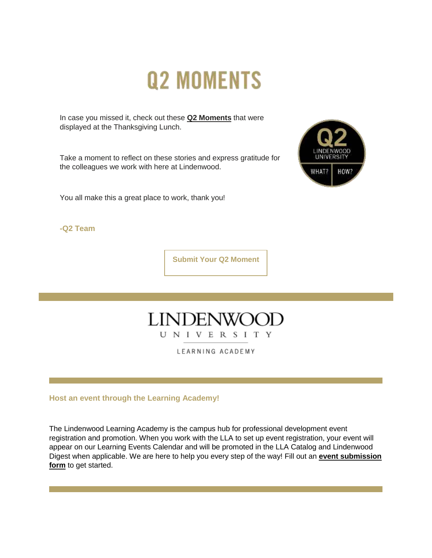# **Q2 MOMENTS**

In case you missed it, check out these **[Q2 Moments](https://nam04.safelinks.protection.outlook.com/?url=https%3A%2F%2Fr20.rs6.net%2Ftn.jsp%3Ff%3D001cUWlXWRFO8J59_dGCd8P7iGtaf9-lT6w-2hJjvELcqih6FaRBgOL98vtU74fDtAPaWTxfWXTImkF0Zr8jD92h8PgSHpGuD2D1FKf4gGrSCzTd6fP_lJjRdNoDQEpr7VMQL5LQjxKADK1Gjl-FLLaX8c0cX9NVqNfFF0dJxLhvkyKVgloRkb4NeZ7_Q_BNbpvD5K8-ySIpRFx_cEtOwiCap84isbnqfgkjIU-ZEaXvkA%3D%26c%3Dl7huLWkyk7mAeOnGO9_zpdlrQwzBdA7GYdA-dppgWmgw0TZ2Oa8AyA%3D%3D%26ch%3DCLagxJTYGW-C162-CjCRR3mWGbC9biwb7kdTqZ_ecUG8EgVSDalMEg%3D%3D&data=04%7C01%7Cphuffman%40lindenwood.edu%7Cc7de0581322e42fa7ae208d9b4df94e3%7C3d72f08e540a4c68905d9e69c4d9c61e%7C1%7C0%7C637739694645921309%7CUnknown%7CTWFpbGZsb3d8eyJWIjoiMC4wLjAwMDAiLCJQIjoiV2luMzIiLCJBTiI6Ik1haWwiLCJXVCI6Mn0%3D%7C3000&sdata=fqAAanTviEz4DI3wAPU4HYZpZdhAm5L%2FyaGAcb3zzak%3D&reserved=0)** that were displayed at the Thanksgiving Lunch.

Take a moment to reflect on these stories and express gratitude for the colleagues we work with here at Lindenwood.

You all make this a great place to work, thank you!



**-Q2 Team**

**[Submit Your Q2 Moment](https://nam04.safelinks.protection.outlook.com/?url=https%3A%2F%2Fr20.rs6.net%2Ftn.jsp%3Ff%3D001cUWlXWRFO8J59_dGCd8P7iGtaf9-lT6w-2hJjvELcqih6FaRBgOL93Thd1ss3FsG99kyT9k1HynuFQ8j7Ks6UpdhYqs94LV7ZZ7LPA6ivXuk00ji1_Tr_E3NGhZKiLbU0a6gk-644Qh8G3NOGrmKCalifQTjGZZ3WQTGAnagBNtbFWJNGVZCwuDp0TnZkc7keZLzdVYg3UmswrgLXGdygw1ZFLXLJnGhr2kXEZFP4dzcdOdpMCaQoLelFkXGNBgQJje2BxaQ77_WpxWKkmjkjQ%3D%3D%26c%3Dl7huLWkyk7mAeOnGO9_zpdlrQwzBdA7GYdA-dppgWmgw0TZ2Oa8AyA%3D%3D%26ch%3DCLagxJTYGW-C162-CjCRR3mWGbC9biwb7kdTqZ_ecUG8EgVSDalMEg%3D%3D&data=04%7C01%7Cphuffman%40lindenwood.edu%7Cc7de0581322e42fa7ae208d9b4df94e3%7C3d72f08e540a4c68905d9e69c4d9c61e%7C1%7C0%7C637739694645931254%7CUnknown%7CTWFpbGZsb3d8eyJWIjoiMC4wLjAwMDAiLCJQIjoiV2luMzIiLCJBTiI6Ik1haWwiLCJXVCI6Mn0%3D%7C3000&sdata=tsoYUAk%2BvLswxtkWR7UpainFWfY46VghLfFGZ2jHIeU%3D&reserved=0)**



LEARNING ACADEMY

**Host an event through the Learning Academy!** 

The Lindenwood Learning Academy is the campus hub for professional development event registration and promotion. When you work with the LLA to set up event registration, your event will appear on our Learning Events Calendar and will be promoted in the LLA Catalog and Lindenwood Digest when applicable. We are here to help you every step of the way! Fill out an **[event submission](https://nam04.safelinks.protection.outlook.com/?url=https%3A%2F%2Fr20.rs6.net%2Ftn.jsp%3Ff%3D001cUWlXWRFO8J59_dGCd8P7iGtaf9-lT6w-2hJjvELcqih6FaRBgOL95xOf6xZQJYU7sJBED9urTcHbXC5whUSCAl4lKQgJft-dDllUWT7X8_fjMbpeIlAR94dF6l3WP5QC5ubRBoUPUbkE9o5TObMYjB7bGxjFxe86cXbFXDLRDFopWSrgW41QdHM670mpI3oH1kMvFk8TdivzEyb63huqZhTzDAJc--ERIxRwa7erZpXiflj75BqCImf3Z0HEFd1i3Tdgfiw_9g%3D%26c%3Dl7huLWkyk7mAeOnGO9_zpdlrQwzBdA7GYdA-dppgWmgw0TZ2Oa8AyA%3D%3D%26ch%3DCLagxJTYGW-C162-CjCRR3mWGbC9biwb7kdTqZ_ecUG8EgVSDalMEg%3D%3D&data=04%7C01%7Cphuffman%40lindenwood.edu%7Cc7de0581322e42fa7ae208d9b4df94e3%7C3d72f08e540a4c68905d9e69c4d9c61e%7C1%7C0%7C637739694645941227%7CUnknown%7CTWFpbGZsb3d8eyJWIjoiMC4wLjAwMDAiLCJQIjoiV2luMzIiLCJBTiI6Ik1haWwiLCJXVCI6Mn0%3D%7C3000&sdata=FfWAR7DQ5D2kfv8DsvAJMSC0YJ6RogVNAiQo04LCJ50%3D&reserved=0)  [form](https://nam04.safelinks.protection.outlook.com/?url=https%3A%2F%2Fr20.rs6.net%2Ftn.jsp%3Ff%3D001cUWlXWRFO8J59_dGCd8P7iGtaf9-lT6w-2hJjvELcqih6FaRBgOL95xOf6xZQJYU7sJBED9urTcHbXC5whUSCAl4lKQgJft-dDllUWT7X8_fjMbpeIlAR94dF6l3WP5QC5ubRBoUPUbkE9o5TObMYjB7bGxjFxe86cXbFXDLRDFopWSrgW41QdHM670mpI3oH1kMvFk8TdivzEyb63huqZhTzDAJc--ERIxRwa7erZpXiflj75BqCImf3Z0HEFd1i3Tdgfiw_9g%3D%26c%3Dl7huLWkyk7mAeOnGO9_zpdlrQwzBdA7GYdA-dppgWmgw0TZ2Oa8AyA%3D%3D%26ch%3DCLagxJTYGW-C162-CjCRR3mWGbC9biwb7kdTqZ_ecUG8EgVSDalMEg%3D%3D&data=04%7C01%7Cphuffman%40lindenwood.edu%7Cc7de0581322e42fa7ae208d9b4df94e3%7C3d72f08e540a4c68905d9e69c4d9c61e%7C1%7C0%7C637739694645941227%7CUnknown%7CTWFpbGZsb3d8eyJWIjoiMC4wLjAwMDAiLCJQIjoiV2luMzIiLCJBTiI6Ik1haWwiLCJXVCI6Mn0%3D%7C3000&sdata=FfWAR7DQ5D2kfv8DsvAJMSC0YJ6RogVNAiQo04LCJ50%3D&reserved=0)** to get started.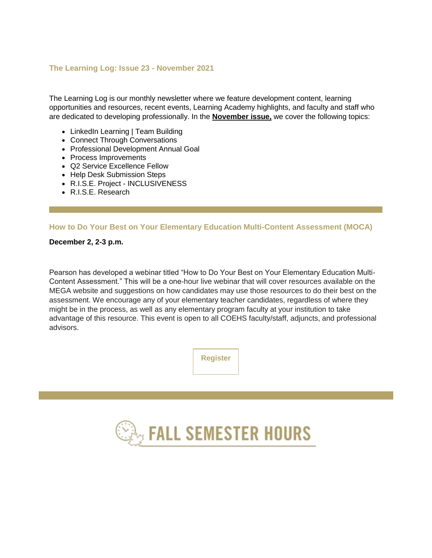#### **[The Learning Log: Issue 23 -](https://nam04.safelinks.protection.outlook.com/?url=https%3A%2F%2Fr20.rs6.net%2Ftn.jsp%3Ff%3D001cUWlXWRFO8J59_dGCd8P7iGtaf9-lT6w-2hJjvELcqih6FaRBgOL98vtU74fDtAPTWFHqq2RnouESR5X6dY9My_AmdT_ausna2qKxWSkLDdpx4rJsSKu5CxHmFW1HCCS0B6aD5QaPquqxhd4qHwjT6Yy7I68yh5M6Q-IT11HzsRfgvjtyrQkn90HXsvOSIAnrgWO7kME911d4exEInkr-9e5q9mmtYYUyXe6ug8VG6qtIbYoCg8XUQ%3D%3D%26c%3Dl7huLWkyk7mAeOnGO9_zpdlrQwzBdA7GYdA-dppgWmgw0TZ2Oa8AyA%3D%3D%26ch%3DCLagxJTYGW-C162-CjCRR3mWGbC9biwb7kdTqZ_ecUG8EgVSDalMEg%3D%3D&data=04%7C01%7Cphuffman%40lindenwood.edu%7Cc7de0581322e42fa7ae208d9b4df94e3%7C3d72f08e540a4c68905d9e69c4d9c61e%7C1%7C0%7C637739694645951179%7CUnknown%7CTWFpbGZsb3d8eyJWIjoiMC4wLjAwMDAiLCJQIjoiV2luMzIiLCJBTiI6Ik1haWwiLCJXVCI6Mn0%3D%7C3000&sdata=fncdB2amJE6F5wEEd0EUR%2BFdnmOrIkm47UTM7g93Wyc%3D&reserved=0) November 2021**

The Learning Log is our monthly newsletter where we feature development content, learning opportunities and resources, recent events, Learning Academy highlights, and faculty and staff who are dedicated to developing professionally. In the **[November issue,](https://nam04.safelinks.protection.outlook.com/?url=https%3A%2F%2Fr20.rs6.net%2Ftn.jsp%3Ff%3D001cUWlXWRFO8J59_dGCd8P7iGtaf9-lT6w-2hJjvELcqih6FaRBgOL98vtU74fDtAPTWFHqq2RnouESR5X6dY9My_AmdT_ausna2qKxWSkLDdpx4rJsSKu5CxHmFW1HCCS0B6aD5QaPquqxhd4qHwjT6Yy7I68yh5M6Q-IT11HzsRfgvjtyrQkn90HXsvOSIAnrgWO7kME911d4exEInkr-9e5q9mmtYYUyXe6ug8VG6qtIbYoCg8XUQ%3D%3D%26c%3Dl7huLWkyk7mAeOnGO9_zpdlrQwzBdA7GYdA-dppgWmgw0TZ2Oa8AyA%3D%3D%26ch%3DCLagxJTYGW-C162-CjCRR3mWGbC9biwb7kdTqZ_ecUG8EgVSDalMEg%3D%3D&data=04%7C01%7Cphuffman%40lindenwood.edu%7Cc7de0581322e42fa7ae208d9b4df94e3%7C3d72f08e540a4c68905d9e69c4d9c61e%7C1%7C0%7C637739694645961150%7CUnknown%7CTWFpbGZsb3d8eyJWIjoiMC4wLjAwMDAiLCJQIjoiV2luMzIiLCJBTiI6Ik1haWwiLCJXVCI6Mn0%3D%7C3000&sdata=ASKdiRlpkMboel%2FBQBg%2BTQTstBvQfObHvOrr9USbRG8%3D&reserved=0)** we cover the following topics:

- LinkedIn Learning | Team Building
- Connect Through Conversations
- Professional Development Annual Goal
- Process Improvements
- Q2 Service Excellence Fellow
- Help Desk Submission Steps
- R.I.S.E. Project INCLUSIVENESS
- R.I.S.E. Research

#### **How to Do Your Best on Your Elementary Education Multi-Content Assessment (MOCA)**

**December 2, 2-3 p.m.**

Pearson has developed a webinar titled "How to Do Your Best on Your Elementary Education Multi-Content Assessment." This will be a one-hour live webinar that will cover resources available on the MEGA website and suggestions on how candidates may use those resources to do their best on the assessment. We encourage any of your elementary teacher candidates, regardless of where they might be in the process, as well as any elementary program faculty at your institution to take advantage of this resource. This event is open to all COEHS faculty/staff, adjuncts, and professional advisors.